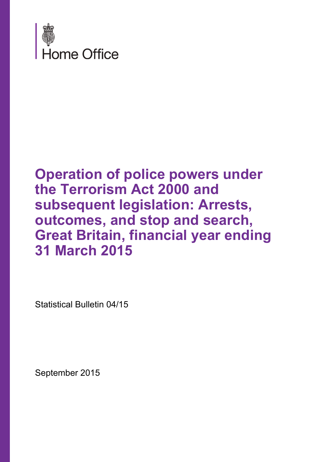

## **Operation of police powers under the Terrorism Act 2000 and subsequent legislation: Arrests, outcomes, and stop and search, Great Britain, financial year ending 31 March 2015**

Statistical Bulletin 04/15

September 2015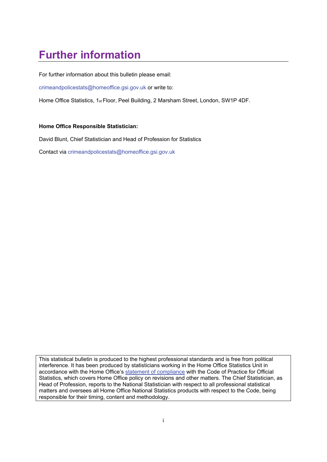## **Further information**

For further information about this bulletin please email:

crimeandpolicestats@homeoffice.gsi.gov.uk or write to:

Home Office Statistics, 1st Floor, Peel Building, 2 Marsham Street, London, SW1P 4DF.

#### **Home Office Responsible Statistician:**

David Blunt, Chief Statistician and Head of Profession for Statistics

Contact via crimeandpolicestats@homeoffice.gsi.gov.uk

This statistical bulletin is produced to the highest professional standards and is free from political interference. It has been produced by statisticians working in the Home Office Statistics Unit in accordance with the Home Office's [statement of compliance](https://www.gov.uk/government/publications/statement-of-compliance-with-code-of-practice-for-official-statistics) with the Code of Practice for Official Statistics, which covers Home Office policy on revisions and other matters. The Chief Statistician, as Head of Profession, reports to the National Statistician with respect to all professional statistical matters and oversees all Home Office National Statistics products with respect to the Code, being responsible for their timing, content and methodology.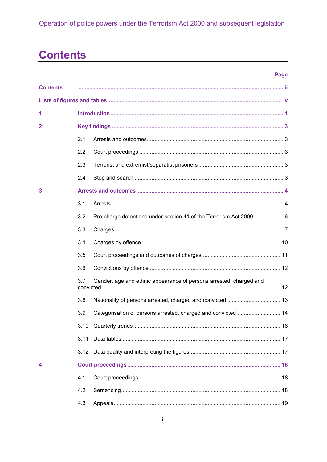## **Contents**

| <b>Contents</b> |      |                                                                    |  |  |  |
|-----------------|------|--------------------------------------------------------------------|--|--|--|
|                 |      |                                                                    |  |  |  |
| 1               |      |                                                                    |  |  |  |
| 2               |      |                                                                    |  |  |  |
|                 | 2.1  |                                                                    |  |  |  |
|                 | 2.2  |                                                                    |  |  |  |
|                 | 2.3  |                                                                    |  |  |  |
|                 | 2.4  |                                                                    |  |  |  |
| 3               |      |                                                                    |  |  |  |
|                 | 3.1  |                                                                    |  |  |  |
|                 | 3.2  | Pre-charge detentions under section 41 of the Terrorism Act 2000 6 |  |  |  |
|                 | 3.3  |                                                                    |  |  |  |
|                 | 3.4  |                                                                    |  |  |  |
|                 | 3.5  |                                                                    |  |  |  |
|                 | 3.6  |                                                                    |  |  |  |
|                 | 3.7  | Gender, age and ethnic appearance of persons arrested, charged and |  |  |  |
|                 | 3.8  |                                                                    |  |  |  |
|                 | 3.9  |                                                                    |  |  |  |
|                 |      |                                                                    |  |  |  |
|                 | 3.11 |                                                                    |  |  |  |
|                 | 3.12 |                                                                    |  |  |  |
| 4               |      |                                                                    |  |  |  |
|                 | 4.1  |                                                                    |  |  |  |
|                 | 4.2  |                                                                    |  |  |  |
|                 | 4.3  |                                                                    |  |  |  |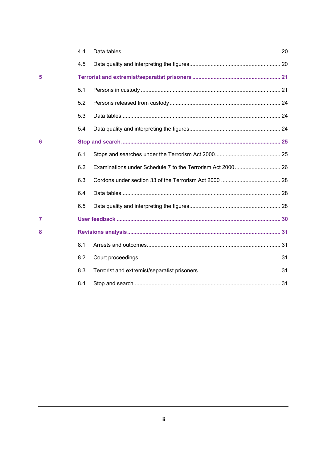|   | 4.4 |  |
|---|-----|--|
|   | 4.5 |  |
| 5 |     |  |
|   | 5.1 |  |
|   | 5.2 |  |
|   | 5.3 |  |
|   | 5.4 |  |
| 6 |     |  |
|   | 6.1 |  |
|   | 6.2 |  |
|   | 6.3 |  |
|   | 6.4 |  |
|   | 6.5 |  |
| 7 |     |  |
| 8 |     |  |
|   | 8.1 |  |
|   | 8.2 |  |
|   | 8.3 |  |
|   | 8.4 |  |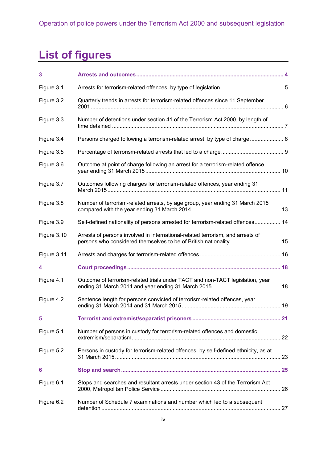## **List of figures**

| 3           |                                                                                                                                                     |  |
|-------------|-----------------------------------------------------------------------------------------------------------------------------------------------------|--|
| Figure 3.1  |                                                                                                                                                     |  |
|             |                                                                                                                                                     |  |
| Figure 3.2  | Quarterly trends in arrests for terrorism-related offences since 11 September                                                                       |  |
| Figure 3.3  | Number of detentions under section 41 of the Terrorism Act 2000, by length of                                                                       |  |
| Figure 3.4  | Persons charged following a terrorism-related arrest, by type of charge 8                                                                           |  |
| Figure 3.5  |                                                                                                                                                     |  |
| Figure 3.6  | Outcome at point of charge following an arrest for a terrorism-related offence,                                                                     |  |
| Figure 3.7  | Outcomes following charges for terrorism-related offences, year ending 31                                                                           |  |
| Figure 3.8  | Number of terrorism-related arrests, by age group, year ending 31 March 2015                                                                        |  |
| Figure 3.9  | Self-defined nationality of persons arrested for terrorism-related offences 14                                                                      |  |
| Figure 3.10 | Arrests of persons involved in international-related terrorism, and arrests of<br>persons who considered themselves to be of British nationality 15 |  |
| Figure 3.11 |                                                                                                                                                     |  |
| 4           |                                                                                                                                                     |  |
| Figure 4.1  | Outcome of terrorism-related trials under TACT and non-TACT legislation, year                                                                       |  |
| Figure 4.2  | Sentence length for persons convicted of terrorism-related offences, year                                                                           |  |
| 5           |                                                                                                                                                     |  |
| Figure 5.1  | Number of persons in custody for terrorism-related offences and domestic                                                                            |  |
| Figure 5.2  | Persons in custody for terrorism-related offences, by self-defined ethnicity, as at                                                                 |  |
| 6           |                                                                                                                                                     |  |
| Figure 6.1  | Stops and searches and resultant arrests under section 43 of the Terrorism Act                                                                      |  |
| Figure 6.2  | Number of Schedule 7 examinations and number which led to a subsequent                                                                              |  |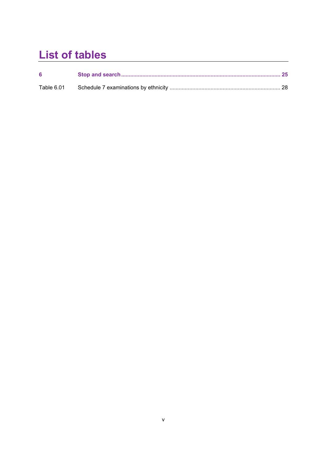## **List of tables**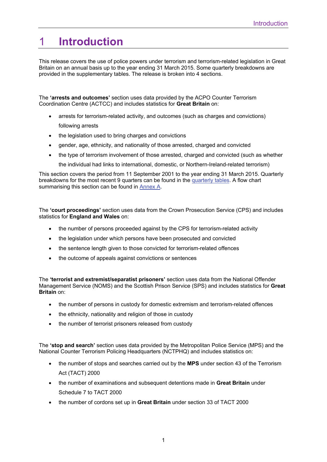## 1 **Introduction**

This release covers the use of police powers under terrorism and terrorism-related legislation in Great Britain on an annual basis up to the year ending 31 March 2015. Some quarterly breakdowns are provided in the supplementary tables. The release is broken into 4 sections.

The **'arrests and outcomes'** section uses data provided by the ACPO Counter Terrorism Coordination Centre (ACTCC) and includes statistics for **Great Britain** on:

- arrests for terrorism-related activity, and outcomes (such as charges and convictions) following arrests
- the legislation used to bring charges and convictions
- gender, age, ethnicity, and nationality of those arrested, charged and convicted
- the type of terrorism involvement of those arrested, charged and convicted (such as whether

the individual had links to international, domestic, or Northern-Ireland-related terrorism)

This section covers the period from 11 September 2001 to the year ending 31 March 2015. Quarterly breakdowns for the most recent 9 quarters can be found in the [quarterly tables.](https://www.gov.uk/government/uploads/system/uploads/attachment_data/file/457996/operation-police-powers-terrorism-1415-quarterly-tabs.ods) A flow chart summarising this section can be found in [Annex A](https://www.gov.uk/government/uploads/system/uploads/attachment_data/file/458094/annex-a-flow-chart-1415.pdf).

The **'court proceedings'** section uses data from the Crown Prosecution Service (CPS) and includes statistics for **England and Wales** on:

- the number of persons proceeded against by the CPS for terrorism-related activity
- the legislation under which persons have been prosecuted and convicted
- the sentence length given to those convicted for terrorism-related offences
- the outcome of appeals against convictions or sentences

The **'terrorist and extremist/separatist prisoners'** section uses data from the National Offender Management Service (NOMS) and the Scottish Prison Service (SPS) and includes statistics for **Great Britain** on:

- the number of persons in custody for domestic extremism and terrorism-related offences
- the ethnicity, nationality and religion of those in custody
- the number of terrorist prisoners released from custody

The **'stop and search'** section uses data provided by the Metropolitan Police Service (MPS) and the National Counter Terrorism Policing Headquarters (NCTPHQ) and includes statistics on:

- the number of stops and searches carried out by the **MPS** under section 43 of the Terrorism Act (TACT) 2000
- the number of examinations and subsequent detentions made in **Great Britain** under Schedule 7 to TACT 2000
- the number of cordons set up in **Great Britain** under section 33 of TACT 2000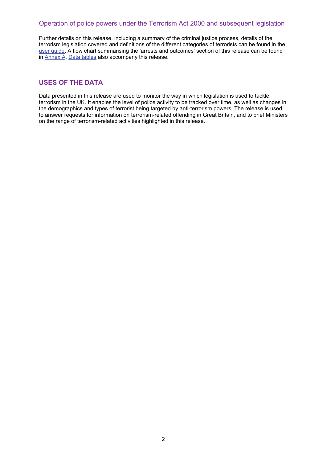Further details on this release, including a summary of the criminal justice process, details of the terrorism legislation covered and definitions of the different categories of terrorists can be found in the [user guide.](https://www.gov.uk/government/publications/user-guide-to-operation-of-police-powers-under-the-terrorism-act-2000-and-subsequent-legislation) A flow chart summarising the 'arrests and outcomes' section of this release can be found in [Annex A](https://www.gov.uk/government/uploads/system/uploads/attachment_data/file/458094/annex-a-flow-chart-1415.pdf). [Data tables](https://www.gov.uk/government/statistics/operation-of-police-powers-under-the-terrorism-act-2000-financial-year-ending-march-2015-data-tables) also accompany this release.

### **USES OF THE DATA**

Data presented in this release are used to monitor the way in which legislation is used to tackle terrorism in the UK. It enables the level of police activity to be tracked over time, as well as changes in the demographics and types of terrorist being targeted by anti-terrorism powers. The release is used to answer requests for information on terrorism-related offending in Great Britain, and to brief Ministers on the range of terrorism-related activities highlighted in this release.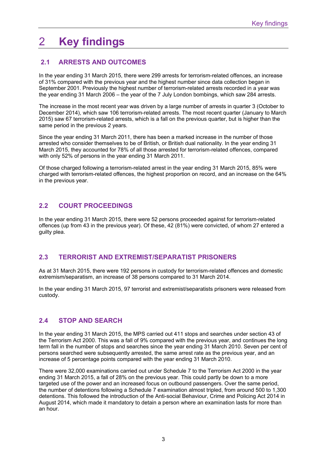## 2 **Key findings**

## **2.1 ARRESTS AND OUTCOMES**

In the year ending 31 March 2015, there were 299 arrests for terrorism-related offences, an increase of 31% compared with the previous year and the highest number since data collection began in September 2001. Previously the highest number of terrorism-related arrests recorded in a year was the year ending 31 March 2006 – the year of the 7 July London bombings, which saw 284 arrests.

The increase in the most recent year was driven by a large number of arrests in quarter 3 (October to December 2014), which saw 106 terrorism-related arrests. The most recent quarter (January to March 2015) saw 67 terrorism-related arrests, which is a fall on the previous quarter, but is higher than the same period in the previous 2 years.

Since the year ending 31 March 2011, there has been a marked increase in the number of those arrested who consider themselves to be of British, or British dual nationality. In the year ending 31 March 2015, they accounted for 78% of all those arrested for terrorism-related offences, compared with only 52% of persons in the year ending 31 March 2011.

Of those charged following a terrorism-related arrest in the year ending 31 March 2015, 85% were charged with terrorism-related offences, the highest proportion on record, and an increase on the 64% in the previous year.

## **2.2 COURT PROCEEDINGS**

In the year ending 31 March 2015, there were 52 persons proceeded against for terrorism-related offences (up from 43 in the previous year). Of these, 42 (81%) were convicted, of whom 27 entered a guilty plea.

## **2.3 TERRORIST AND EXTREMIST/SEPARATIST PRISONERS**

As at 31 March 2015, there were 192 persons in custody for terrorism-related offences and domestic extremism/separatism, an increase of 38 persons compared to 31 March 2014.

In the year ending 31 March 2015, 97 terrorist and extremist/separatists prisoners were released from custody.

## **2.4 STOP AND SEARCH**

In the year ending 31 March 2015, the MPS carried out 411 stops and searches under section 43 of the Terrorism Act 2000. This was a fall of 9% compared with the previous year, and continues the long term fall in the number of stops and searches since the year ending 31 March 2010. Seven per cent of persons searched were subsequently arrested, the same arrest rate as the previous year, and an increase of 5 percentage points compared with the year ending 31 March 2010.

There were 32,000 examinations carried out under Schedule 7 to the Terrorism Act 2000 in the year ending 31 March 2015, a fall of 28% on the previous year. This could partly be down to a more targeted use of the power and an increased focus on outbound passengers. Over the same period, the number of detentions following a Schedule 7 examination almost tripled, from around 500 to 1,300 detentions. This followed the introduction of the Anti-social Behaviour, Crime and Policing Act 2014 in August 2014, which made it mandatory to detain a person where an examination lasts for more than an hour.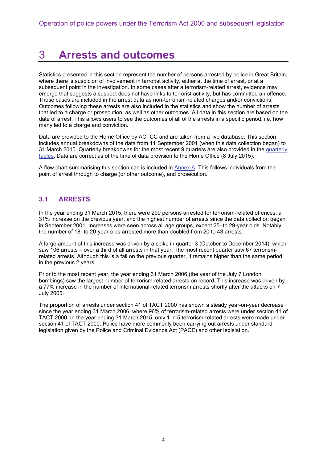## 3 **Arrests and outcomes**

Statistics presented in this section represent the number of persons arrested by police in Great Britain, where there is suspicion of involvement in terrorist activity, either at the time of arrest, or at a subsequent point in the investigation. In some cases after a terrorism-related arrest, evidence may emerge that suggests a suspect does not have links to terrorist activity, but has committed an offence. These cases are included in the arrest data as non-terrorism-related charges and/or convictions. Outcomes following these arrests are also included in the statistics and show the number of arrests that led to a charge or prosecution, as well as other outcomes. All data in this section are based on the date of arrest. This allows users to see the outcomes of all of the arrests in a specific period, i.e. how many led to a charge and conviction.

Data are provided to the Home Office by ACTCC and are taken from a live database. This section includes annual breakdowns of the data from 11 September 2001 (when this data collection began) to 31 March 2015. Quarterly breakdowns for the most recent 9 quarters are also provided in the [quarterly](https://www.gov.uk/government/uploads/system/uploads/attachment_data/file/457996/operation-police-powers-terrorism-1415-quarterly-tabs.ods) [tables.](https://www.gov.uk/government/uploads/system/uploads/attachment_data/file/457996/operation-police-powers-terrorism-1415-quarterly-tabs.ods) Data are correct as of the time of data provision to the Home Office (8 July 2015).

A flow chart summarising this section can is included in [Annex A.](https://www.gov.uk/government/uploads/system/uploads/attachment_data/file/458094/annex-a-flow-chart-1415.pdf) This follows individuals from the point of arrest through to charge (or other outcome), and prosecution.

## **3.1 ARRESTS**

In the year ending 31 March 2015, there were 299 persons arrested for terrorism-related offences, a 31% increase on the previous year, and the highest number of arrests since the data collection began in September 2001. Increases were seen across all age groups, except 25- to 29-year-olds. Notably the number of 18- to 20-year-olds arrested more than doubled from 20 to 43 arrests.

A large amount of this increase was driven by a spike in quarter 3 (October to December 2014), which saw 106 arrests – over a third of all arrests in that year. The most recent quarter saw 67 terrorismrelated arrests. Although this is a fall on the previous quarter, it remains higher than the same period in the previous 2 years.

Prior to the most recent year, the year ending 31 March 2006 (the year of the July 7 London bombings) saw the largest number of terrorism-related arrests on record. This increase was driven by a 77% increase in the number of international-related terrorism arrests shortly after the attacks on 7 July 2005.

The proportion of arrests under section 41 of TACT 2000 has shown a steady year-on-year decrease since the year ending 31 March 2006, where 96% of terrorism-related arrests were under section 41 of TACT 2000. In the year ending 31 March 2015, only 1 in 5 terrorism-related arrests were made under section 41 of TACT 2000. Police have more commonly been carrying out arrests under standard legislation given by the Police and Criminal Evidence Act (PACE) and other legislation.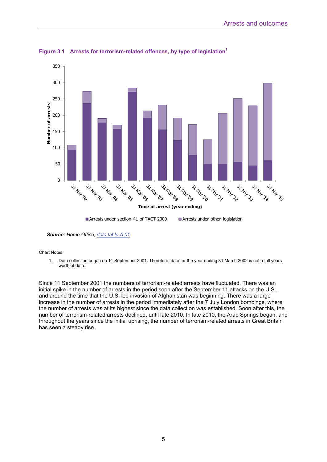

**Figure 3.1 Arrests for terrorism-related offences, by type of legislation<sup>1</sup>**

*Source: Home Office, [data table A.01.](https://www.gov.uk/government/uploads/system/uploads/attachment_data/file/457995/operation-police-powers-terrorism-1415-tabs.ods)* 

Chart Notes:

1. Data collection began on 11 September 2001. Therefore, data for the year ending 31 March 2002 is not a full years worth of data.

Since 11 September 2001 the numbers of terrorism-related arrests have fluctuated. There was an initial spike in the number of arrests in the period soon after the September 11 attacks on the U.S., and around the time that the U.S. led invasion of Afghanistan was beginning. There was a large increase in the number of arrests in the period immediately after the 7 July London bombings, where the number of arrests was at its highest since the data collection was established. Soon after this, the number of terrorism-related arrests declined, until late 2010. In late 2010, the Arab Springs began, and throughout the years since the initial uprising, the number of terrorism-related arrests in Great Britain has seen a steady rise.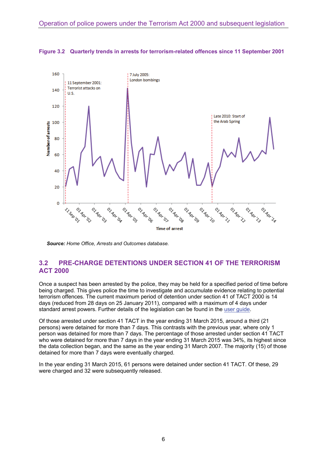

**Figure 3.2 Quarterly trends in arrests for terrorism-related offences since 11 September 2001** 

*Source: Home Office, Arrests and Outcomes database.* 

### **3.2 PRE-CHARGE DETENTIONS UNDER SECTION 41 OF THE TERRORISM ACT 2000**

Once a suspect has been arrested by the police, they may be held for a specified period of time before being charged. This gives police the time to investigate and accumulate evidence relating to potential terrorism offences. The current maximum period of detention under section 41 of TACT 2000 is 14 days (reduced from 28 days on 25 January 2011), compared with a maximum of 4 days under standard arrest powers. Further details of the legislation can be found in the [user guide](https://www.gov.uk/government/publications/user-guide-to-operation-of-police-powers-under-the-terrorism-act-2000-and-subsequent-legislation).

Of those arrested under section 41 TACT in the year ending 31 March 2015, around a third (21 persons) were detained for more than 7 days. This contrasts with the previous year, where only 1 person was detained for more than 7 days. The percentage of those arrested under section 41 TACT who were detained for more than 7 days in the year ending 31 March 2015 was 34%, its highest since the data collection began, and the same as the year ending 31 March 2007. The majority (15) of those detained for more than 7 days were eventually charged.

In the year ending 31 March 2015, 61 persons were detained under section 41 TACT. Of these, 29 were charged and 32 were subsequently released.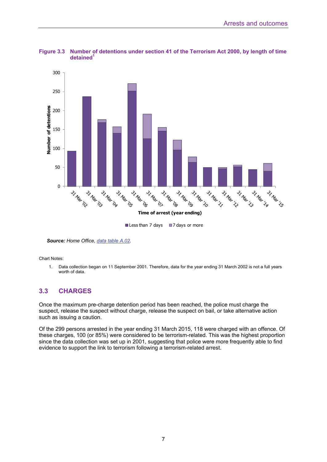



*Source: Home Office, [data table A.02.](https://www.gov.uk/government/uploads/system/uploads/attachment_data/file/457995/operation-police-powers-terrorism-1415-tabs.ods)* 

Chart Notes:

1. Data collection began on 11 September 2001. Therefore, data for the year ending 31 March 2002 is not a full years worth of data.

### **3.3 CHARGES**

Once the maximum pre-charge detention period has been reached, the police must charge the suspect, release the suspect without charge, release the suspect on bail, or take alternative action such as issuing a caution.

Of the 299 persons arrested in the year ending 31 March 2015, 118 were charged with an offence. Of these charges, 100 (or 85%) were considered to be terrorism-related. This was the highest proportion since the data collection was set up in 2001, suggesting that police were more frequently able to find evidence to support the link to terrorism following a terrorism-related arrest.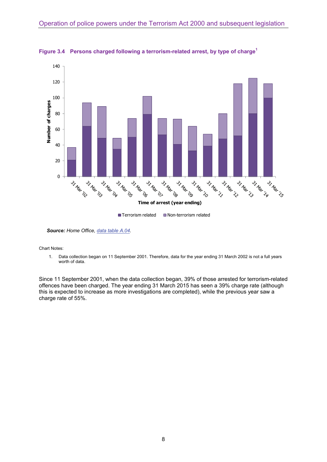

**Figure 3.4 Persons charged following a terrorism-related arrest, by type of charge<sup>1</sup>**

*Source: Home Office, [data table A.04.](https://www.gov.uk/government/uploads/system/uploads/attachment_data/file/457995/operation-police-powers-terrorism-1415-tabs.ods)* 

Chart Notes:

1. Data collection began on 11 September 2001. Therefore, data for the year ending 31 March 2002 is not a full years worth of data.

Since 11 September 2001, when the data collection began, 39% of those arrested for terrorism-related offences have been charged. The year ending 31 March 2015 has seen a 39% charge rate (although this is expected to increase as more investigations are completed), while the previous year saw a charge rate of 55%.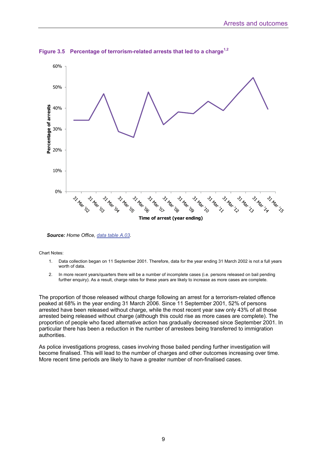

**Figure 3.5 Percentage of terrorism-related arrests that led to a charge1,2**

*Source: Home Office, [data table A.03.](https://www.gov.uk/government/uploads/system/uploads/attachment_data/file/457995/operation-police-powers-terrorism-1415-tabs.ods)* 

Chart Notes:

- 1. Data collection began on 11 September 2001. Therefore, data for the year ending 31 March 2002 is not a full years worth of data.
- 2. In more recent years/quarters there will be a number of incomplete cases (i.e. persons released on bail pending further enquiry). As a result, charge rates for these years are likely to increase as more cases are complete.

The proportion of those released without charge following an arrest for a terrorism-related offence peaked at 68% in the year ending 31 March 2006. Since 11 September 2001, 52% of persons arrested have been released without charge, while the most recent year saw only 43% of all those arrested being released without charge (although this could rise as more cases are complete). The proportion of people who faced alternative action has gradually decreased since September 2001. In particular there has been a reduction in the number of arrestees being transferred to immigration authorities.

As police investigations progress, cases involving those bailed pending further investigation will become finalised. This will lead to the number of charges and other outcomes increasing over time. More recent time periods are likely to have a greater number of non-finalised cases.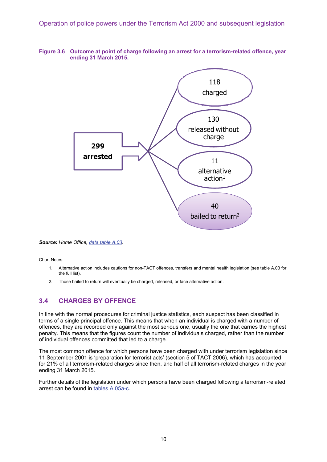#### **Figure 3.6 Outcome at point of charge following an arrest for a terrorism-related offence, year ending 31 March 2015.**



*Source: Home Office, [data table A.03](https://www.gov.uk/government/uploads/system/uploads/attachment_data/file/457995/operation-police-powers-terrorism-1415-tabs.ods).* 

Chart Notes:

- 1. Alternative action includes cautions for non-TACT offences, transfers and mental health legislation (see table A.03 for the full list).
- 2. Those bailed to return will eventually be charged, released, or face alternative action.

### **3.4 CHARGES BY OFFENCE**

In line with the normal procedures for criminal justice statistics, each suspect has been classified in terms of a single principal offence. This means that when an individual is charged with a number of offences, they are recorded only against the most serious one, usually the one that carries the highest penalty. This means that the figures count the number of individuals charged, rather than the number of individual offences committed that led to a charge.

The most common offence for which persons have been charged with under terrorism legislation since 11 September 2001 is 'preparation for terrorist acts' (section 5 of TACT 2006), which has accounted for 21% of all terrorism-related charges since then, and half of all terrorism-related charges in the year ending 31 March 2015.

Further details of the legislation under which persons have been charged following a terrorism-related arrest can be found in [tables A.05a-c](https://www.gov.uk/government/uploads/system/uploads/attachment_data/file/457995/operation-police-powers-terrorism-1415-tabs.ods).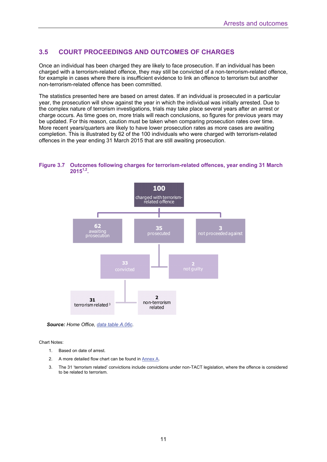## **3.5 COURT PROCEEDINGS AND OUTCOMES OF CHARGES**

Once an individual has been charged they are likely to face prosecution. If an individual has been charged with a terrorism-related offence, they may still be convicted of a non-terrorism-related offence, for example in cases where there is insufficient evidence to link an offence to terrorism but another non-terrorism-related offence has been committed.

The statistics presented here are based on arrest dates. If an individual is prosecuted in a particular year, the prosecution will show against the year in which the individual was initially arrested. Due to the complex nature of terrorism investigations, trials may take place several years after an arrest or charge occurs. As time goes on, more trials will reach conclusions, so figures for previous years may be updated. For this reason, caution must be taken when comparing prosecution rates over time. More recent years/quarters are likely to have lower prosecution rates as more cases are awaiting completion. This is illustrated by 62 of the 100 individuals who were charged with terrorism-related offences in the year ending 31 March 2015 that are still awaiting prosecution.

#### **Figure 3.7 Outcomes following charges for terrorism-related offences, year ending 31 March 20151,2.**



*Source: Home Office, [data table A.06c](https://www.gov.uk/government/uploads/system/uploads/attachment_data/file/457995/operation-police-powers-terrorism-1415-tabs.ods).* 

Chart Notes:

- 1. Based on date of arrest.
- 2. A more detailed flow chart can be found in [Annex A.](https://www.gov.uk/government/uploads/system/uploads/attachment_data/file/458094/annex-a-flow-chart-1415.pdf)
- 3. The 31 'terrorism related' convictions include convictions under non-TACT legislation, where the offence is considered to be related to terrorism.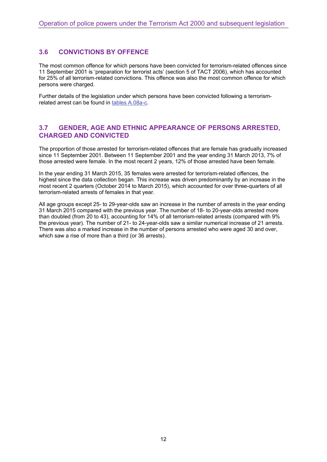### **3.6 CONVICTIONS BY OFFENCE**

The most common offence for which persons have been convicted for terrorism-related offences since 11 September 2001 is 'preparation for terrorist acts' (section 5 of TACT 2006), which has accounted for 25% of all terrorism-related convictions. This offence was also the most common offence for which persons were charged.

Further details of the legislation under which persons have been convicted following a terrorismrelated arrest can be found in [tables A.08a-c.](https://www.gov.uk/government/uploads/system/uploads/attachment_data/file/457995/operation-police-powers-terrorism-1415-tabs.ods)

### **3.7 GENDER, AGE AND ETHNIC APPEARANCE OF PERSONS ARRESTED, CHARGED AND CONVICTED**

The proportion of those arrested for terrorism-related offences that are female has gradually increased since 11 September 2001. Between 11 September 2001 and the year ending 31 March 2013, 7% of those arrested were female. In the most recent 2 years, 12% of those arrested have been female.

In the year ending 31 March 2015, 35 females were arrested for terrorism-related offences, the highest since the data collection began. This increase was driven predominantly by an increase in the most recent 2 quarters (October 2014 to March 2015), which accounted for over three-quarters of all terrorism-related arrests of females in that year.

All age groups except 25- to 29-year-olds saw an increase in the number of arrests in the year ending 31 March 2015 compared with the previous year. The number of 18- to 20-year-olds arrested more than doubled (from 20 to 43), accounting for 14% of all terrorism-related arrests (compared with 9% the previous year). The number of 21- to 24-year-olds saw a similar numerical increase of 21 arrests. There was also a marked increase in the number of persons arrested who were aged 30 and over, which saw a rise of more than a third (or 36 arrests).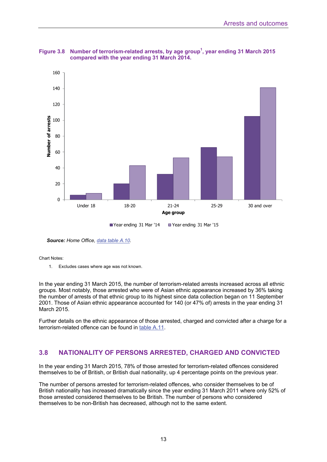

Figure 3.8 Number of terrorism-related arrests, by age group<sup>1</sup>, year ending 31 March 2015 **compared with the year ending 31 March 2014.** 

*Source: Home Office, [data table A.10.](https://www.gov.uk/government/uploads/system/uploads/attachment_data/file/457995/operation-police-powers-terrorism-1415-tabs.ods)* 

#### Chart Notes:

1. Excludes cases where age was not known.

In the year ending 31 March 2015, the number of terrorism-related arrests increased across all ethnic groups. Most notably, those arrested who were of Asian ethnic appearance increased by 36% taking the number of arrests of that ethnic group to its highest since data collection began on 11 September 2001. Those of Asian ethnic appearance accounted for 140 (or 47% of) arrests in the year ending 31 March 2015.

Further details on the ethnic appearance of those arrested, charged and convicted after a charge for a terrorism-related offence can be found in [table A.11.](https://www.gov.uk/government/uploads/system/uploads/attachment_data/file/457995/operation-police-powers-terrorism-1415-tabs.ods)

#### **3.8 NATIONALITY OF PERSONS ARRESTED, CHARGED AND CONVICTED**

In the year ending 31 March 2015, 78% of those arrested for terrorism-related offences considered themselves to be of British, or British dual nationality, up 4 percentage points on the previous year.

The number of persons arrested for terrorism-related offences, who consider themselves to be of British nationality has increased dramatically since the year ending 31 March 2011 where only 52% of those arrested considered themselves to be British. The number of persons who considered themselves to be non-British has decreased, although not to the same extent.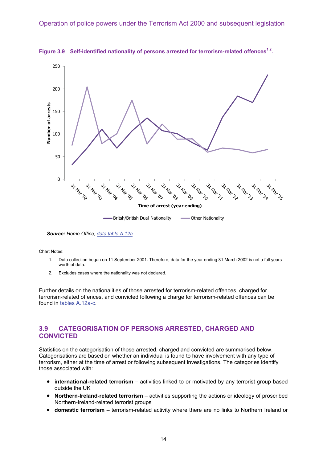

**Figure 3.9 Self-identified nationality of persons arrested for terrorism-related offences1,2.** 

*Source: Home Office, [data table A.12a.](https://www.gov.uk/government/uploads/system/uploads/attachment_data/file/457995/operation-police-powers-terrorism-1415-tabs.ods)* 

Chart Notes:

- 1. Data collection began on 11 September 2001. Therefore, data for the year ending 31 March 2002 is not a full years worth of data.
- 2. Excludes cases where the nationality was not declared.

Further details on the nationalities of those arrested for terrorism-related offences, charged for terrorism-related offences, and convicted following a charge for terrorism-related offences can be found in [tables A.12a-c](https://www.gov.uk/government/uploads/system/uploads/attachment_data/file/457995/operation-police-powers-terrorism-1415-tabs.ods).

## **3.9 CATEGORISATION OF PERSONS ARRESTED, CHARGED AND CONVICTED**

Statistics on the categorisation of those arrested, charged and convicted are summarised below. Categorisations are based on whether an individual is found to have involvement with any type of terrorism, either at the time of arrest or following subsequent investigations. The categories identify those associated with:

- **international-related terrorism** activities linked to or motivated by any terrorist group based outside the UK
- **Northern-Ireland-related terrorism** activities supporting the actions or ideology of proscribed Northern-Ireland-related terrorist groups
- **domestic terrorism** terrorism-related activity where there are no links to Northern Ireland or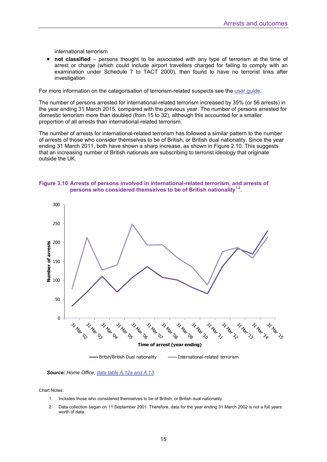international terrorism

 **not classified** – persons thought to be associated with any type of terrorism at the time of arrest or charge (which could include airport travellers charged for failing to comply with an examination under Schedule 7 to TACT 2000), then found to have no terrorist links after investigation

For more information on the categorisation of terrorism-related suspects see the [user guide](https://www.gov.uk/government/publications/user-guide-to-operation-of-police-powers-under-the-terrorism-act-2000-and-subsequent-legislation).

The number of persons arrested for international-related terrorism increased by 35% (or 56 arrests) in the year ending 31 March 2015, compared with the previous year. The number of persons arrested for domestic terrorism more than doubled (from 15 to 32), although this accounted for a smaller proportion of all arrests than international-related terrorism.

The number of arrests for international-related terrorism has followed a similar pattern to the number of arrests of those who consider themselves to be of British, or British dual nationality. Since the year ending 31 March 2011, both have shown a sharp increase, as shown in Figure 2.10. This suggests that an increasing number of British nationals are subscribing to terrorist ideology that originate outside the UK.







Chart Notes:

- 1. Includes those who considered themselves to be of British, or British dual nationality.
- 2. Data collection began on 11 September 2001. Therefore, data for the year ending 31 March 2002 is not a full years worth of data.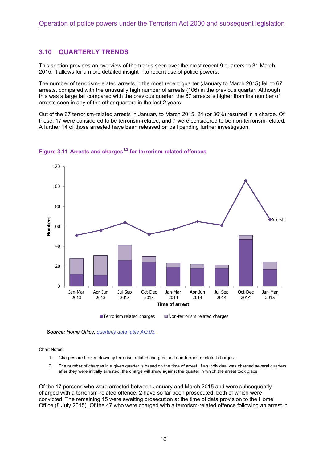### **3.10 QUARTERLY TRENDS**

This section provides an overview of the trends seen over the most recent 9 quarters to 31 March 2015. It allows for a more detailed insight into recent use of police powers.

The number of terrorism-related arrests in the most recent quarter (January to March 2015) fell to 67 arrests, compared with the unusually high number of arrests (106) in the previous quarter. Although this was a large fall compared with the previous quarter, the 67 arrests is higher than the number of arrests seen in any of the other quarters in the last 2 years.

Out of the 67 terrorism-related arrests in January to March 2015, 24 (or 36%) resulted in a charge. Of these, 17 were considered to be terrorism-related, and 7 were considered to be non-terrorism-related. A further 14 of those arrested have been released on bail pending further investigation.



#### **Figure 3.11 Arrests and charges1,2 for terrorism-related offences**

*Source: Home Office, [quarterly data table AQ.03](https://www.gov.uk/government/uploads/system/uploads/attachment_data/file/457996/operation-police-powers-terrorism-1415-quarterly-tabs.ods).* 

Chart Notes:

- 1. Charges are broken down by terrorism related charges, and non-terrorism related charges.
- 2. The number of charges in a given quarter is based on the time of arrest. If an individual was charged several quarters after they were initially arrested, the charge will show against the quarter in which the arrest took place.

Of the 17 persons who were arrested between January and March 2015 and were subsequently charged with a terrorism-related offence, 2 have so far been prosecuted, both of which were convicted. The remaining 15 were awaiting prosecution at the time of data provision to the Home Office (8 July 2015). Of the 47 who were charged with a terrorism-related offence following an arrest in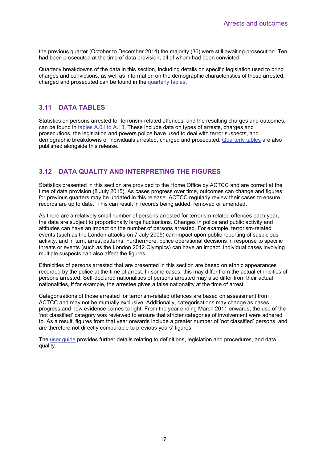the previous quarter (October to December 2014) the majority (36) were still awaiting prosecution. Ten had been prosecuted at the time of data provision, all of whom had been convicted.

Quarterly breakdowns of the data in this section, including details on specific legislation used to bring charges and convictions, as well as information on the demographic characteristics of those arrested, charged and prosecuted can be found in the [quarterly tables.](https://www.gov.uk/government/uploads/system/uploads/attachment_data/file/457996/operation-police-powers-terrorism-1415-quarterly-tabs.ods)

## **3.11 DATA TABLES**

Statistics on persons arrested for terrorism-related offences, and the resulting charges and outcomes, can be found in [tables A.01 to A.13.](https://www.gov.uk/government/uploads/system/uploads/attachment_data/file/457995/operation-police-powers-terrorism-1415-tabs.ods) These include data on types of arrests, charges and prosecutions, the legislation and powers police have used to deal with terror suspects, and demographic breakdowns of individuals arrested, charged and prosecuted. [Quarterly tables](https://www.gov.uk/government/uploads/system/uploads/attachment_data/file/457996/operation-police-powers-terrorism-1415-quarterly-tabs.ods) are also published alongside this release.

## **3.12 DATA QUALITY AND INTERPRETING THE FIGURES**

Statistics presented in this section are provided to the Home Office by ACTCC and are correct at the time of data provision (8 July 2015). As cases progress over time, outcomes can change and figures for previous quarters may be updated in this release. ACTCC regularly review their cases to ensure records are up to date. This can result in records being added, removed or amended.

As there are a relatively small number of persons arrested for terrorism-related offences each year, the data are subject to proportionally large fluctuations. Changes in police and public activity and attitudes can have an impact on the number of persons arrested. For example, terrorism-related events (such as the London attacks on 7 July 2005) can impact upon public reporting of suspicious activity, and in turn, arrest patterns. Furthermore, police operational decisions in response to specific threats or events (such as the London 2012 Olympics) can have an impact. Individual cases involving multiple suspects can also affect the figures.

Ethnicities of persons arrested that are presented in this section are based on ethnic appearances recorded by the police at the time of arrest. In some cases, this may differ from the actual ethnicities of persons arrested. Self-declared nationalities of persons arrested may also differ from their actual nationalities, if for example, the arrestee gives a false nationality at the time of arrest.

Categorisations of those arrested for terrorism-related offences are based on assessment from ACTCC and may not be mutually exclusive. Additionally, categorisations may change as cases progress and new evidence comes to light. From the year ending March 2011 onwards, the use of the 'not classified' category was reviewed to ensure that stricter categories of involvement were adhered to. As a result, figures from that year onwards include a greater number of 'not classified' persons, and are therefore not directly comparable to previous years' figures.

The [user guide](https://www.gov.uk/government/publications/user-guide-to-operation-of-police-powers-under-the-terrorism-act-2000-and-subsequent-legislation) provides further details relating to definitions, legislation and procedures, and data quality.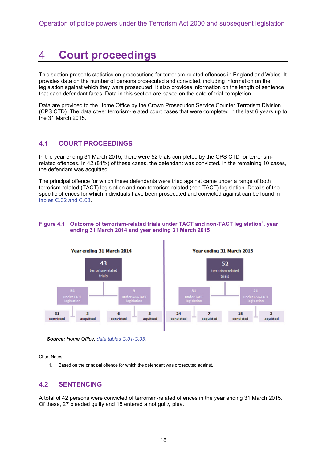## 4 **Court proceedings**

This section presents statistics on prosecutions for terrorism-related offences in England and Wales. It provides data on the number of persons prosecuted and convicted, including information on the legislation against which they were prosecuted. It also provides information on the length of sentence that each defendant faces. Data in this section are based on the date of trial completion.

Data are provided to the Home Office by the Crown Prosecution Service Counter Terrorism Division (CPS CTD). The data cover terrorism-related court cases that were completed in the last 6 years up to the 31 March 2015.

## **4.1 COURT PROCEEDINGS**

In the year ending 31 March 2015, there were 52 trials completed by the CPS CTD for terrorismrelated offences. In 42 (81%) of these cases, the defendant was convicted. In the remaining 10 cases, the defendant was acquitted.

The principal offence for which these defendants were tried against came under a range of both terrorism-related (TACT) legislation and non-terrorism-related (non-TACT) legislation. Details of the specific offences for which individuals have been prosecuted and convicted against can be found in [tables C.02 and C.03.](https://www.gov.uk/government/uploads/system/uploads/attachment_data/file/457995/operation-police-powers-terrorism-1415-tabs.ods)

#### Figure 4.1 Outcome of terrorism-related trials under TACT and non-TACT legislation<sup>1</sup>, year **ending 31 March 2014 and year ending 31 March 2015**



*Source: Home Office, [data tables C.01-C.03.](https://www.gov.uk/government/uploads/system/uploads/attachment_data/file/457995/operation-police-powers-terrorism-1415-tabs.ods)* 

Chart Notes:

1. Based on the principal offence for which the defendant was prosecuted against.

### **4.2 SENTENCING**

A total of 42 persons were convicted of terrorism-related offences in the year ending 31 March 2015. Of these, 27 pleaded guilty and 15 entered a not guilty plea.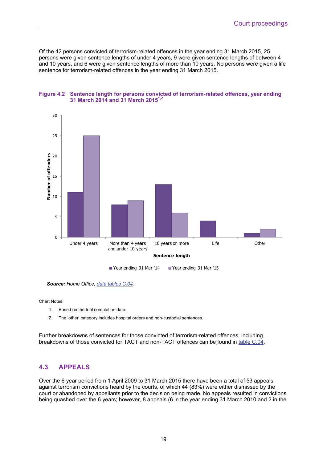Of the 42 persons convicted of terrorism-related offences in the year ending 31 March 2015, 25 persons were given sentence lengths of under 4 years, 9 were given sentence lengths of between 4 and 10 years, and 6 were given sentence lengths of more than 10 years. No persons were given a life sentence for terrorism-related offences in the year ending 31 March 2015.



#### **Figure 4.2 Sentence length for persons convicted of terrorism-related offences, year ending 31 March 2014 and 31 March 20151,2**

*Source: Home Office, [data tables C.04.](https://www.gov.uk/government/uploads/system/uploads/attachment_data/file/457995/operation-police-powers-terrorism-1415-tabs.ods)* 

Chart Notes:

- 1. Based on the trial completion date.
- 2. The 'other' category includes hospital orders and non-custodial sentences.

Further breakdowns of sentences for those convicted of terrorism-related offences, including breakdowns of those convicted for TACT and non-TACT offences can be found in [table C.04](https://www.gov.uk/government/uploads/system/uploads/attachment_data/file/457995/operation-police-powers-terrorism-1415-tabs.ods).

### **4.3 APPEALS**

Over the 6 year period from 1 April 2009 to 31 March 2015 there have been a total of 53 appeals against terrorism convictions heard by the courts, of which 44 (83%) were either dismissed by the court or abandoned by appellants prior to the decision being made. No appeals resulted in convictions being quashed over the 6 years; however, 8 appeals (6 in the year ending 31 March 2010 and 2 in the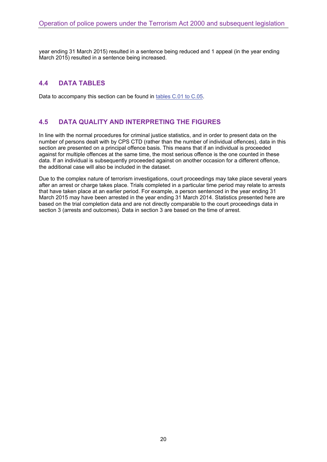year ending 31 March 2015) resulted in a sentence being reduced and 1 appeal (in the year ending March 2015) resulted in a sentence being increased.

## **4.4 DATA TABLES**

Data to accompany this section can be found in [tables C.01 to C.05](https://www.gov.uk/government/uploads/system/uploads/attachment_data/file/457995/operation-police-powers-terrorism-1415-tabs.ods).

## **4.5 DATA QUALITY AND INTERPRETING THE FIGURES**

In line with the normal procedures for criminal justice statistics, and in order to present data on the number of persons dealt with by CPS CTD (rather than the number of individual offences), data in this section are presented on a principal offence basis. This means that if an individual is proceeded against for multiple offences at the same time, the most serious offence is the one counted in these data. If an individual is subsequently proceeded against on another occasion for a different offence, the additional case will also be included in the dataset.

Due to the complex nature of terrorism investigations, court proceedings may take place several years after an arrest or charge takes place. Trials completed in a particular time period may relate to arrests that have taken place at an earlier period. For example, a person sentenced in the year ending 31 March 2015 may have been arrested in the year ending 31 March 2014. Statistics presented here are based on the trial completion data and are not directly comparable to the court proceedings data in section 3 (arrests and outcomes). Data in section 3 are based on the time of arrest.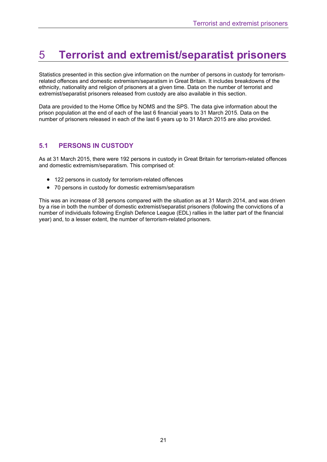## 5 **Terrorist and extremist/separatist prisoners**

Statistics presented in this section give information on the number of persons in custody for terrorismrelated offences and domestic extremism/separatism in Great Britain. It includes breakdowns of the ethnicity, nationality and religion of prisoners at a given time. Data on the number of terrorist and extremist/separatist prisoners released from custody are also available in this section.

Data are provided to the Home Office by NOMS and the SPS. The data give information about the prison population at the end of each of the last 6 financial years to 31 March 2015. Data on the number of prisoners released in each of the last 6 years up to 31 March 2015 are also provided.

## **5.1 PERSONS IN CUSTODY**

As at 31 March 2015, there were 192 persons in custody in Great Britain for terrorism-related offences and domestic extremism/separatism. This comprised of:

- 122 persons in custody for terrorism-related offences
- 70 persons in custody for domestic extremism/separatism

This was an increase of 38 persons compared with the situation as at 31 March 2014, and was driven by a rise in both the number of domestic extremist/separatist prisoners (following the convictions of a number of individuals following English Defence League (EDL) rallies in the latter part of the financial year) and, to a lesser extent, the number of terrorism-related prisoners.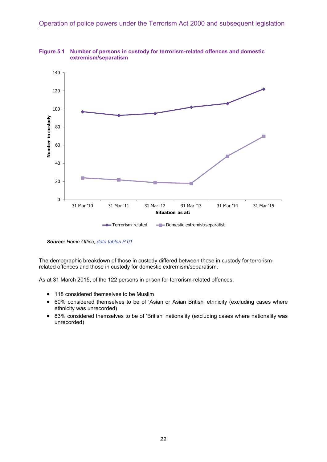

**Figure 5.1 Number of persons in custody for terrorism-related offences and domestic extremism/separatism** 

*Source: Home Office, [data tables P.01](https://www.gov.uk/government/uploads/system/uploads/attachment_data/file/457995/operation-police-powers-terrorism-1415-tabs.ods).* 

The demographic breakdown of those in custody differed between those in custody for terrorismrelated offences and those in custody for domestic extremism/separatism.

As at 31 March 2015, of the 122 persons in prison for terrorism-related offences:

- 118 considered themselves to be Muslim
- 60% considered themselves to be of 'Asian or Asian British' ethnicity (excluding cases where ethnicity was unrecorded)
- 83% considered themselves to be of 'British' nationality (excluding cases where nationality was unrecorded)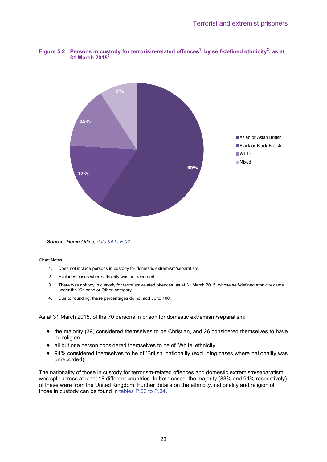#### Figure 5.2 Persons in custody for terrorism-related offences<sup>1</sup>, by self-defined ethnicity<sup>2</sup>, as at **31 March 20153,4**



*Source: Home Office, [data table P.02.](https://www.gov.uk/government/uploads/system/uploads/attachment_data/file/457995/operation-police-powers-terrorism-1415-tabs.ods)* 

Chart Notes:

- 1. Does not include persons in custody for domestic extremism/separatism.
- 2. Excludes cases where ethnicity was not recorded.
- 3. There was nobody in custody for terrorism-related offences, as at 31 March 2015, whose self-defined ethnicity came under the 'Chinese or Other' category.
- 4. Due to rounding, these percentages do not add up to 100.

As at 31 March 2015, of the 70 persons in prison for domestic extremism/separatism:

- the majority (39) considered themselves to be Christian, and 26 considered themselves to have no religion
- all but one person considered themselves to be of 'White' ethnicity
- 94% considered themselves to be of 'British' nationality (excluding cases where nationality was unrecorded)

The nationality of those in custody for terrorism-related offences and domestic extremism/separatism was split across at least 18 different countries. In both cases, the majority (83% and 94% respectively) of these were from the United Kingdom. Further details on the ethnicity, nationality and religion of those in custody can be found in [tables P.02 to P.04.](https://www.gov.uk/government/uploads/system/uploads/attachment_data/file/457995/operation-police-powers-terrorism-1415-tabs.ods)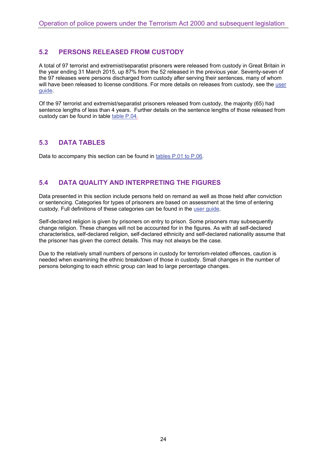## **5.2 PERSONS RELEASED FROM CUSTODY**

A total of 97 terrorist and extremist/separatist prisoners were released from custody in Great Britain in the year ending 31 March 2015, up 87% from the 52 released in the previous year. Seventy-seven of the 97 releases were persons discharged from custody after serving their sentences, many of whom will have been released to license conditions. For more details on releases from custody, see the [user](https://www.gov.uk/government/publications/user-guide-to-operation-of-police-powers-under-the-terrorism-act-2000-and-subsequent-legislation) [guide](https://www.gov.uk/government/publications/user-guide-to-operation-of-police-powers-under-the-terrorism-act-2000-and-subsequent-legislation).

Of the 97 terrorist and extremist/separatist prisoners released from custody, the majority (65) had sentence lengths of less than 4 years. Further details on the sentence lengths of those released from custody can be found in table [table P.04.](https://www.gov.uk/government/uploads/system/uploads/attachment_data/file/457995/operation-police-powers-terrorism-1415-tabs.ods)

### **5.3 DATA TABLES**

Data to accompany this section can be found in [tables P.01 to P.06](https://www.gov.uk/government/uploads/system/uploads/attachment_data/file/457995/operation-police-powers-terrorism-1415-tabs.ods).

## **5.4 DATA QUALITY AND INTERPRETING THE FIGURES**

Data presented in this section include persons held on remand as well as those held after conviction or sentencing. Categories for types of prisoners are based on assessment at the time of entering custody. Full definitions of these categories can be found in the [user guide](https://www.gov.uk/government/publications/user-guide-to-operation-of-police-powers-under-the-terrorism-act-2000-and-subsequent-legislation).

Self-declared religion is given by prisoners on entry to prison. Some prisoners may subsequently change religion. These changes will not be accounted for in the figures. As with all self-declared characteristics, self-declared religion, self-declared ethnicity and self-declared nationality assume that the prisoner has given the correct details. This may not always be the case.

Due to the relatively small numbers of persons in custody for terrorism-related offences, caution is needed when examining the ethnic breakdown of those in custody. Small changes in the number of persons belonging to each ethnic group can lead to large percentage changes.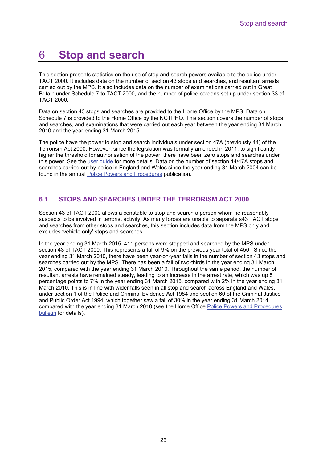## 6 **Stop and search**

This section presents statistics on the use of stop and search powers available to the police under TACT 2000. It includes data on the number of section 43 stops and searches, and resultant arrests carried out by the MPS. It also includes data on the number of examinations carried out in Great Britain under Schedule 7 to TACT 2000, and the number of police cordons set up under section 33 of TACT 2000.

Data on section 43 stops and searches are provided to the Home Office by the MPS. Data on Schedule 7 is provided to the Home Office by the NCTPHQ. This section covers the number of stops and searches, and examinations that were carried out each year between the year ending 31 March 2010 and the year ending 31 March 2015.

The police have the power to stop and search individuals under section 47A (previously 44) of the Terrorism Act 2000. However, since the legislation was formally amended in 2011, to significantly higher the threshold for authorisation of the power, there have been zero stops and searches under this power. See the [user guide](https://www.gov.uk/government/publications/user-guide-to-operation-of-police-powers-under-the-terrorism-act-2000-and-subsequent-legislation) for more details. Data on the number of section 44/47A stops and searches carried out by police in England and Wales since the year ending 31 March 2004 can be found in the annual [Police Powers and Procedures](https://www.gov.uk/government/collections/police-powers-and-procedures-england-and-wales) publication.

## **6.1 STOPS AND SEARCHES UNDER THE TERRORISM ACT 2000**

Section 43 of TACT 2000 allows a constable to stop and search a person whom he reasonably suspects to be involved in terrorist activity. As many forces are unable to separate s43 TACT stops and searches from other stops and searches, this section includes data from the MPS only and excludes 'vehicle only' stops and searches.

In the year ending 31 March 2015, 411 persons were stopped and searched by the MPS under section 43 of TACT 2000. This represents a fall of 9% on the previous year total of 450. Since the year ending 31 March 2010, there have been year-on-year falls in the number of section 43 stops and searches carried out by the MPS. There has been a fall of two-thirds in the year ending 31 March 2015, compared with the year ending 31 March 2010. Throughout the same period, the number of resultant arrests have remained steady, leading to an increase in the arrest rate, which was up 5 percentage points to 7% in the year ending 31 March 2015, compared with 2% in the year ending 31 March 2010. This is in line with wider falls seen in all stop and search across England and Wales, under section 1 of the Police and Criminal Evidence Act 1984 and section 60 of the Criminal Justice and Public Order Act 1994, which together saw a fall of 30% in the year ending 31 March 2014 compared with the year ending 31 March 2010 (see the Home Office [Police Powers and Procedures](https://www.gov.uk/government/collections/police-powers-and-procedures-england-and-wales)  [bulletin](https://www.gov.uk/government/collections/police-powers-and-procedures-england-and-wales) for details).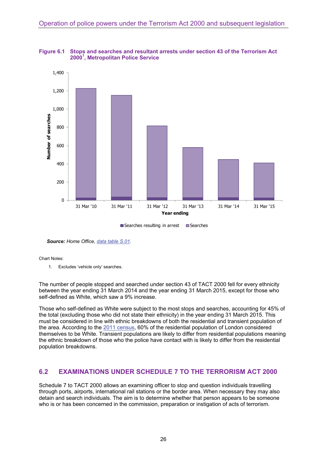

**Figure 6.1 Stops and searches and resultant arrests under section 43 of the Terrorism Act 2000<sup>1</sup> , Metropolitan Police Service** 

 $\square$  Searches resulting in arrest  $\square$  Searches

*Source: Home Office, [data table S.01.](https://www.gov.uk/government/uploads/system/uploads/attachment_data/file/457995/operation-police-powers-terrorism-1415-tabs.ods)* 

#### Chart Notes:

1. Excludes 'vehicle only' searches.

The number of people stopped and searched under section 43 of TACT 2000 fell for every ethnicity between the year ending 31 March 2014 and the year ending 31 March 2015, except for those who self-defined as White, which saw a 9% increase.

Those who self-defined as White were subject to the most stops and searches, accounting for 45% of the total (excluding those who did not state their ethnicity) in the year ending 31 March 2015. This must be considered in line with ethnic breakdowns of both the residential and transient population of the area. According to the [2011 census,](https://www.nomisweb.co.uk/census/2011/dc2101ew) 60% of the residential population of London considered themselves to be White. Transient populations are likely to differ from residential populations meaning the ethnic breakdown of those who the police have contact with is likely to differ from the residential population breakdowns.

#### **6.2 EXAMINATIONS UNDER SCHEDULE 7 TO THE TERRORISM ACT 2000**

Schedule 7 to TACT 2000 allows an examining officer to stop and question individuals travelling through ports, airports, international rail stations or the border area. When necessary they may also detain and search individuals. The aim is to determine whether that person appears to be someone who is or has been concerned in the commission, preparation or instigation of acts of terrorism.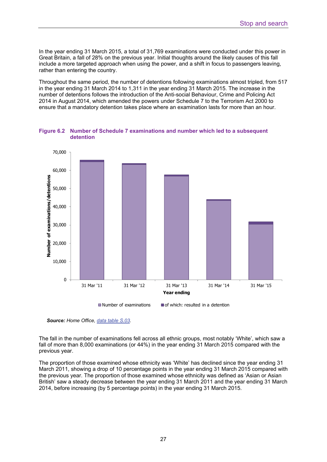In the year ending 31 March 2015, a total of 31,769 examinations were conducted under this power in Great Britain, a fall of 28% on the previous year. Initial thoughts around the likely causes of this fall include a more targeted approach when using the power, and a shift in focus to passengers leaving, rather than entering the country.

Throughout the same period, the number of detentions following examinations almost tripled, from 517 in the year ending 31 March 2014 to 1,311 in the year ending 31 March 2015. The increase in the number of detentions follows the introduction of the Anti-social Behaviour, Crime and Policing Act 2014 in August 2014, which amended the powers under Schedule 7 to the Terrorism Act 2000 to ensure that a mandatory detention takes place where an examination lasts for more than an hour.



**Figure 6.2 Number of Schedule 7 examinations and number which led to a subsequent detention** 

*Source: Home Office, [data table S.03.](https://www.gov.uk/government/uploads/system/uploads/attachment_data/file/457995/operation-police-powers-terrorism-1415-tabs.ods)* 

The fall in the number of examinations fell across all ethnic groups, most notably 'White', which saw a fall of more than 8,000 examinations (or 44%) in the year ending 31 March 2015 compared with the previous year.

The proportion of those examined whose ethnicity was 'White' has declined since the year ending 31 March 2011, showing a drop of 10 percentage points in the year ending 31 March 2015 compared with the previous year. The proportion of those examined whose ethnicity was defined as 'Asian or Asian British' saw a steady decrease between the year ending 31 March 2011 and the year ending 31 March 2014, before increasing (by 5 percentage points) in the year ending 31 March 2015.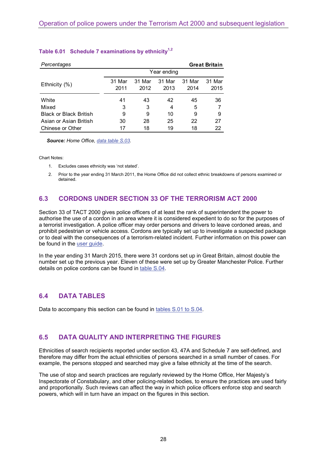| Percentages                   |                |                |                |                | <b>Great Britain</b> |
|-------------------------------|----------------|----------------|----------------|----------------|----------------------|
|                               | Year ending    |                |                |                |                      |
| Ethnicity (%)                 | 31 Mar<br>2011 | 31 Mar<br>2012 | 31 Mar<br>2013 | 31 Mar<br>2014 | 31 Mar<br>2015       |
| White                         | 41             | 43             | 42             | 45             | 36                   |
| Mixed                         | 3              | 3              | 4              | 5              |                      |
| <b>Black or Black British</b> | 9              | 9              | 10             | 9              | 9                    |
| Asian or Asian British        | 30             | 28             | 25             | 22             | 27                   |
| Chinese or Other              | 17             | 18             | 19             | 18             | 22                   |

### Table 6.01 Schedule 7 examinations by ethnicity<sup>1,2</sup>

*Source: Home Office, [data table S.03.](https://www.gov.uk/government/uploads/system/uploads/attachment_data/file/457995/operation-police-powers-terrorism-1415-tabs.ods)* 

Chart Notes:

- 1. Excludes cases ethnicity was 'not stated'.
- 2. Prior to the year ending 31 March 2011, the Home Office did not collect ethnic breakdowns of persons examined or detained.

## **6.3 CORDONS UNDER SECTION 33 OF THE TERRORISM ACT 2000**

Section 33 of TACT 2000 gives police officers of at least the rank of superintendent the power to authorise the use of a cordon in an area where it is considered expedient to do so for the purposes of a terrorist investigation. A police officer may order persons and drivers to leave cordoned areas, and prohibit pedestrian or vehicle access. Cordons are typically set up to investigate a suspected package or to deal with the consequences of a terrorism-related incident. Further information on this power can be found in the [user guide.](https://www.gov.uk/government/publications/user-guide-to-operation-of-police-powers-under-the-terrorism-act-2000-and-subsequent-legislation)

In the year ending 31 March 2015, there were 31 cordons set up in Great Britain, almost double the number set up the previous year. Eleven of these were set up by Greater Manchester Police. Further details on police cordons can be found in [table S.04](https://www.gov.uk/government/uploads/system/uploads/attachment_data/file/457995/operation-police-powers-terrorism-1415-tabs.ods).

### **6.4 DATA TABLES**

Data to accompany this section can be found in [tables S.01 to S.04](https://www.gov.uk/government/uploads/system/uploads/attachment_data/file/457995/operation-police-powers-terrorism-1415-tabs.ods).

#### **6.5 DATA QUALITY AND INTERPRETING THE FIGURES**

Ethnicities of search recipients reported under section 43, 47A and Schedule 7 are self-defined, and therefore may differ from the actual ethnicities of persons searched in a small number of cases. For example, the persons stopped and searched may give a false ethnicity at the time of the search.

The use of stop and search practices are regularly reviewed by the Home Office, Her Majesty's Inspectorate of Constabulary, and other policing-related bodies, to ensure the practices are used fairly and proportionally. Such reviews can affect the way in which police officers enforce stop and search powers, which will in turn have an impact on the figures in this section.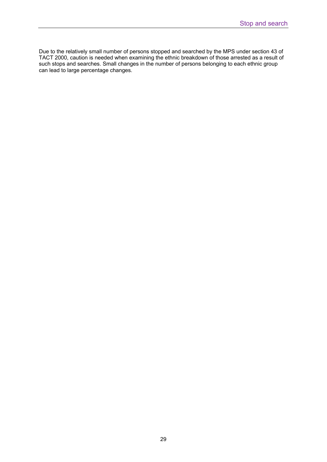Due to the relatively small number of persons stopped and searched by the MPS under section 43 of TACT 2000, caution is needed when examining the ethnic breakdown of those arrested as a result of such stops and searches. Small changes in the number of persons belonging to each ethnic group can lead to large percentage changes.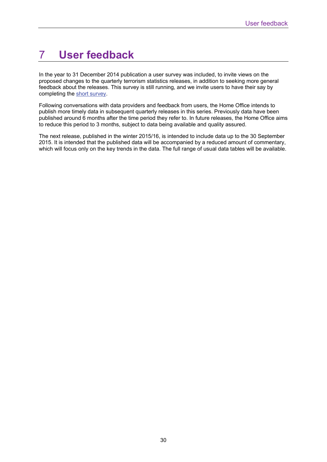## 7 **User feedback**

In the year to 31 December 2014 publication a user survey was included, to invite views on the proposed changes to the quarterly terrorism statistics releases, in addition to seeking more general feedback about the releases. This survey is still running, and we invite users to have their say by completing the [short survey](http://www.homeofficesurveys.homeoffice.gov.uk/s/VKVYI/).

Following conversations with data providers and feedback from users, the Home Office intends to publish more timely data in subsequent quarterly releases in this series. Previously data have been published around 6 months after the time period they refer to. In future releases, the Home Office aims to reduce this period to 3 months, subject to data being available and quality assured.

The next release, published in the winter 2015/16, is intended to include data up to the 30 September 2015. It is intended that the published data will be accompanied by a reduced amount of commentary, which will focus only on the key trends in the data. The full range of usual data tables will be available.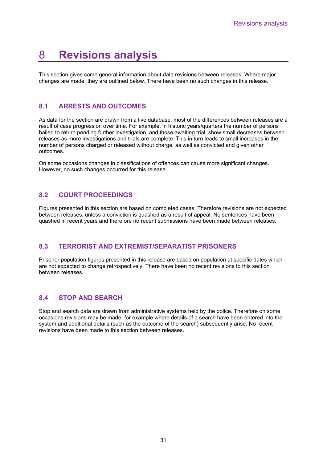## 8 **Revisions analysis**

This section gives some general information about data revisions between releases. Where major changes are made, they are outlined below. There have been no such changes in this release.

## **8.1 ARRESTS AND OUTCOMES**

As data for the section are drawn from a live database, most of the differences between releases are a result of case progression over time. For example, in historic years/quarters the number of persons bailed to return pending further investigation, and those awaiting trial, show small decreases between releases as more investigations and trials are complete. This in turn leads to small increases in the number of persons charged or released without charge, as well as convicted and given other outcomes.

On some occasions changes in classifications of offences can cause more significant changes. However, no such changes occurred for this release.

## **8.2 COURT PROCEEDINGS**

Figures presented in this section are based on completed cases. Therefore revisions are not expected between releases, unless a conviction is quashed as a result of appeal. No sentences have been quashed in recent years and therefore no recent submissions have been made between releases.

### **8.3 TERRORIST AND EXTREMIST/SEPARATIST PRISONERS**

Prisoner population figures presented in this release are based on population at specific dates which are not expected to change retrospectively. There have been no recent revisions to this section between releases.

## **8.4 STOP AND SEARCH**

Stop and search data are drawn from administrative systems held by the police. Therefore on some occasions revisions may be made, for example where details of a search have been entered into the system and additional details (such as the outcome of the search) subsequently arise. No recent revisions have been made to this section between releases.